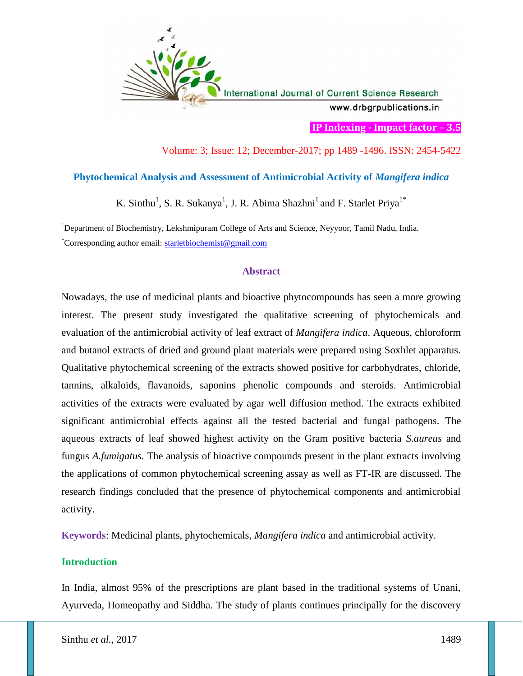

**IP Indexing - Impact factor – 3.5**

# Volume: 3; Issue: 12; December-2017; pp 1489 -1496. ISSN: 2454-5422

## **Phytochemical Analysis and Assessment of Antimicrobial Activity of** *Mangifera indica*

K. Sinthu<sup>1</sup>, S. R. Sukanya<sup>1</sup>, J. R. Abima Shazhni<sup>1</sup> and F. Starlet Priya<sup>1\*</sup>

<sup>1</sup>Department of Biochemistry, Lekshmipuram College of Arts and Science, Neyyoor, Tamil Nadu, India. \*Corresponding author email: starletbiochemist@gmail.com

### **Abstract**

Nowadays, the use of medicinal plants and bioactive phytocompounds has seen a more growing interest. The present study investigated the qualitative screening of phytochemicals and evaluation of the antimicrobial activity of leaf extract of *Mangifera indica*. Aqueous, chloroform and butanol extracts of dried and ground plant materials were prepared using Soxhlet apparatus. Qualitative phytochemical screening of the extracts showed positive for carbohydrates, chloride, tannins, alkaloids, flavanoids, saponins phenolic compounds and steroids. Antimicrobial activities of the extracts were evaluated by agar well diffusion method. The extracts exhibited significant antimicrobial effects against all the tested bacterial and fungal pathogens. The aqueous extracts of leaf showed highest activity on the Gram positive bacteria *S.aureus* and fungus *A.fumigatus.* The analysis of bioactive compounds present in the plant extracts involving the applications of common phytochemical screening assay as well as FT-IR are discussed. The research findings concluded that the presence of phytochemical components and antimicrobial activity.

**Keywords**: Medicinal plants, phytochemicals, *Mangifera indica* and antimicrobial activity.

## **Introduction**

In India, almost 95% of the prescriptions are plant based in the traditional systems of Unani, Ayurveda, Homeopathy and Siddha. The study of plants continues principally for the discovery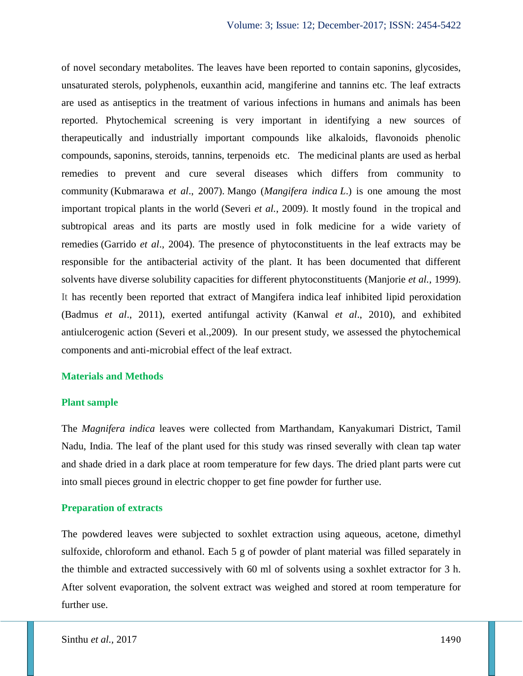of novel secondary metabolites. The leaves have been reported to contain saponins, glycosides, unsaturated sterols, polyphenols, euxanthin acid, mangiferine and tannins etc. The leaf extracts are used as antiseptics in the treatment of various infections in humans and animals has been reported. Phytochemical screening is very important in identifying a new sources of therapeutically and industrially important compounds like alkaloids, flavonoids phenolic compounds, saponins, steroids, tannins, terpenoids etc. The medicinal plants are used as herbal remedies to prevent and cure several diseases which differs from community to community (Kubmarawa *et al*., 2007). Mango (*Mangifera indica L*.) is one amoung the most important tropical plants in the world (Severi *et al.*, 2009). It mostly found in the tropical and subtropical areas and its parts are mostly used in folk medicine for a wide variety of remedies (Garrido *et al*., 2004). The presence of phytoconstituents in the leaf extracts may be responsible for the antibacterial activity of the plant. It has been documented that different solvents have diverse solubility capacities for different phytoconstituents (Manjorie *et al.,* 1999). It has recently been reported that extract of Mangifera indica leaf inhibited lipid peroxidation (Badmus *et al*., 2011), exerted antifungal activity (Kanwal *et al*., 2010), and exhibited antiulcerogenic action (Severi et al.,2009). In our present study, we assessed the phytochemical components and anti-microbial effect of the leaf extract.

#### **Materials and Methods**

#### **Plant sample**

The *Magnifera indica* leaves were collected from Marthandam, Kanyakumari District, Tamil Nadu, India. The leaf of the plant used for this study was rinsed severally with clean tap water and shade dried in a dark place at room temperature for few days. The dried plant parts were cut into small pieces ground in electric chopper to get fine powder for further use.

## **Preparation of extracts**

The powdered leaves were subjected to soxhlet extraction using aqueous, acetone, dimethyl sulfoxide, chloroform and ethanol. Each 5 g of powder of plant material was filled separately in the thimble and extracted successively with 60 ml of solvents using a soxhlet extractor for 3 h. After solvent evaporation, the solvent extract was weighed and stored at room temperature for further use.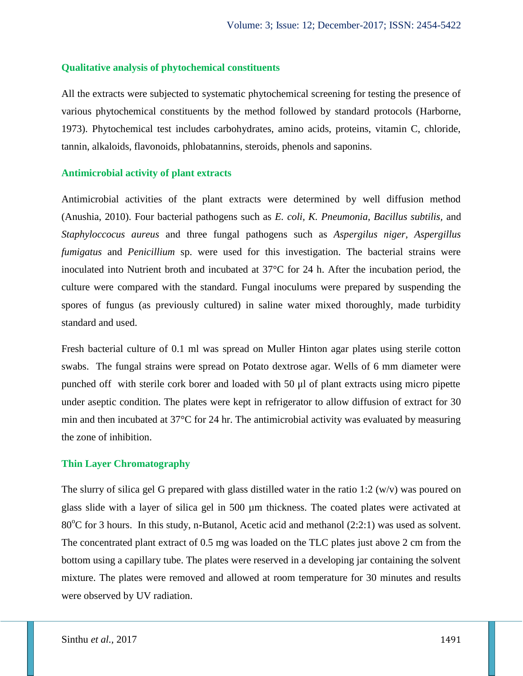### **Qualitative analysis of phytochemical constituents**

All the extracts were subjected to systematic phytochemical screening for testing the presence of various phytochemical constituents by the method followed by standard protocols (Harborne, 1973). Phytochemical test includes carbohydrates, amino acids, proteins, vitamin C, chloride, tannin, alkaloids, flavonoids, phlobatannins, steroids, phenols and saponins.

#### **Antimicrobial activity of plant extracts**

Antimicrobial activities of the plant extracts were determined by well diffusion method (Anushia, 2010). Four bacterial pathogens such as *E. coli, K. Pneumonia, Bacillus subtilis,* and *Staphyloccocus aureus* and three fungal pathogens such as *Aspergilus niger, Aspergillus fumigatus* and *Penicillium* sp. were used for this investigation. The bacterial strains were inoculated into Nutrient broth and incubated at 37°C for 24 h. After the incubation period, the culture were compared with the standard. Fungal inoculums were prepared by suspending the spores of fungus (as previously cultured) in saline water mixed thoroughly, made turbidity standard and used.

Fresh bacterial culture of 0.1 ml was spread on Muller Hinton agar plates using sterile cotton swabs. The fungal strains were spread on Potato dextrose agar. Wells of 6 mm diameter were punched off with sterile cork borer and loaded with 50 μl of plant extracts using micro pipette under aseptic condition. The plates were kept in refrigerator to allow diffusion of extract for 30 min and then incubated at 37°C for 24 hr. The antimicrobial activity was evaluated by measuring the zone of inhibition.

### **Thin Layer Chromatography**

The slurry of silica gel G prepared with glass distilled water in the ratio 1:2 (w/v) was poured on glass slide with a layer of silica gel in 500 µm thickness. The coated plates were activated at 80 $^{\circ}$ C for 3 hours. In this study, n-Butanol, Acetic acid and methanol (2:2:1) was used as solvent. The concentrated plant extract of 0.5 mg was loaded on the TLC plates just above 2 cm from the bottom using a capillary tube. The plates were reserved in a developing jar containing the solvent mixture. The plates were removed and allowed at room temperature for 30 minutes and results were observed by UV radiation.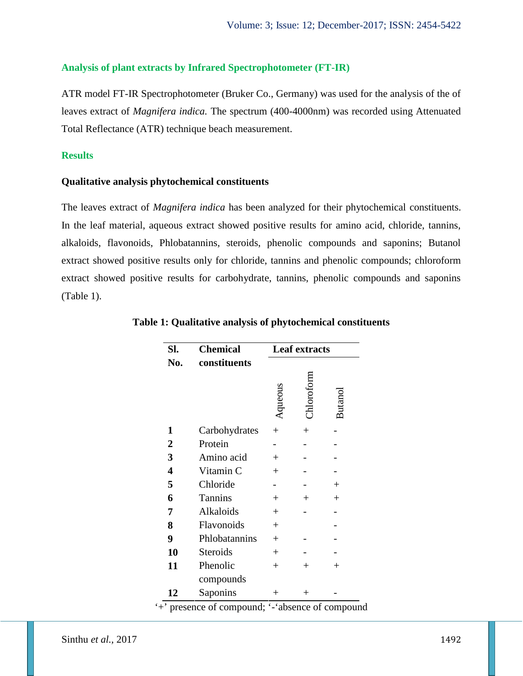### **Analysis of plant extracts by Infrared Spectrophotometer (FT-IR)**

ATR model FT-IR Spectrophotometer (Bruker Co., Germany) was used for the analysis of the of leaves extract of *Magnifera indica.* The spectrum (400-4000nm) was recorded using Attenuated Total Reflectance (ATR) technique beach measurement.

## **Results**

### **Qualitative analysis phytochemical constituents**

The leaves extract of *Magnifera indica* has been analyzed for their phytochemical constituents. In the leaf material, aqueous extract showed positive results for amino acid, chloride, tannins, alkaloids, flavonoids, Phlobatannins, steroids, phenolic compounds and saponins; Butanol extract showed positive results only for chloride, tannins and phenolic compounds; chloroform extract showed positive results for carbohydrate, tannins, phenolic compounds and saponins (Table 1).

| Sl.            | <b>Chemical</b> | Leaf extracts |            |                |
|----------------|-----------------|---------------|------------|----------------|
| No.            | constituents    | Aqueous       | Chloroform | <b>Butanol</b> |
| 1              | Carbohydrates   | $+$           | $+$        |                |
| $\overline{2}$ | Protein         |               |            |                |
| 3              | Amino acid      | $^{+}$        |            |                |
| 4              | Vitamin C       | $^{+}$        |            |                |
| 5              | Chloride        |               |            | $^{+}$         |
| 6              | <b>Tannins</b>  | $+$           | $^{+}$     | $^{+}$         |
| 7              | Alkaloids       | $+$           |            |                |
| 8              | Flavonoids      | $^{+}$        |            |                |
| 9              | Phlobatannins   | $^{+}$        |            |                |
| 10             | Steroids        | $+$           |            |                |
| 11             | Phenolic        | $^{+}$        | $^{+}$     | $^{+}$         |
|                | compounds       |               |            |                |
| 12             | Saponins        | $^+$          | $^+$       |                |

### **Table 1: Qualitative analysis of phytochemical constituents**

'+' presence of compound; '-'absence of compound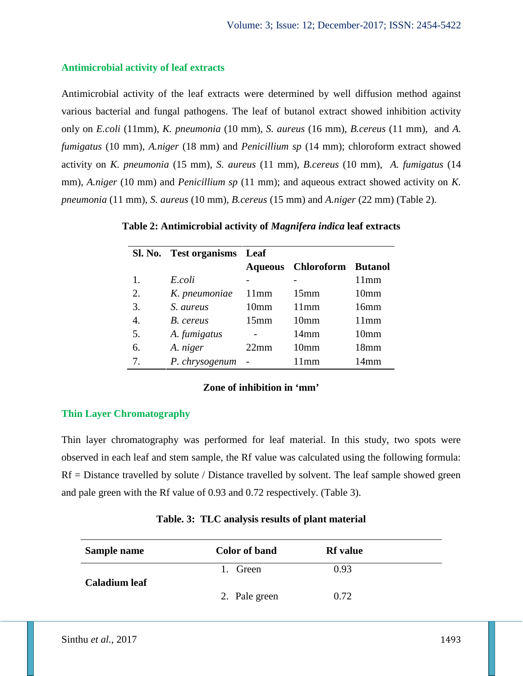## **Antimicrobial activity of leaf extracts**

Antimicrobial activity of the leaf extracts were determined by well diffusion method against various bacterial and fungal pathogens. The leaf of butanol extract showed inhibition activity only on *E.coli* (11mm), *K. pneumonia* (10 mm), *S. aureus* (16 mm), *B.cereus* (11 mm), and *A. fumigatus* (10 mm), *A.niger* (18 mm) and *Penicillium sp* (14 mm); chloroform extract showed activity on *K. pneumonia* (15 mm), *S. aureus* (11 mm), *B.cereus* (10 mm), *A. fumigatus* (14 mm), *A.niger* (10 mm) and *Penicillium sp* (11 mm); and aqueous extract showed activity on *K. pneumonia* (11 mm), *S. aureus* (10 mm), *B.cereus* (15 mm) and *A.niger* (22 mm) (Table 2).

|    | Sl. No. Test organisms Leaf |                  |                    |                  |
|----|-----------------------------|------------------|--------------------|------------------|
|    |                             |                  | Aqueous Chloroform | <b>Butanol</b>   |
|    | E.coli                      |                  |                    | 11mm             |
| 2. | K. pneumoniae               | 11mm             | 15mm               | 10 <sub>mm</sub> |
| 3. | S. aureus                   | 10 <sub>mm</sub> | 11mm               | 16mm             |
|    | B. cereus                   | 15mm             | 10 <sub>mm</sub>   | 11mm             |
| 5. | A. fumigatus                |                  | $14 \text{mm}$     | 10 <sub>mm</sub> |
| 6. | A. niger                    | 22mm             | 10 <sub>mm</sub>   | 18 <sub>mm</sub> |
| 7. | P. chrysogenum              |                  | 11mm               | 14mm             |

**Table 2: Antimicrobial activity of** *Magnifera indica* **leaf extracts**

### **Zone of inhibition in 'mm'**

## **Thin Layer Chromatography**

Thin layer chromatography was performed for leaf material. In this study, two spots were observed in each leaf and stem sample, the Rf value was calculated using the following formula:  $Rf =$  Distance travelled by solute / Distance travelled by solvent. The leaf sample showed green and pale green with the Rf value of 0.93 and 0.72 respectively. (Table 3).

| Sample name          | <b>Color of band</b> | <b>Rf</b> value |
|----------------------|----------------------|-----------------|
| <b>Caladium leaf</b> | 1. Green             | 0.93            |
|                      | 2. Pale green        | 0.72            |

**Table. 3: TLC analysis results of plant material**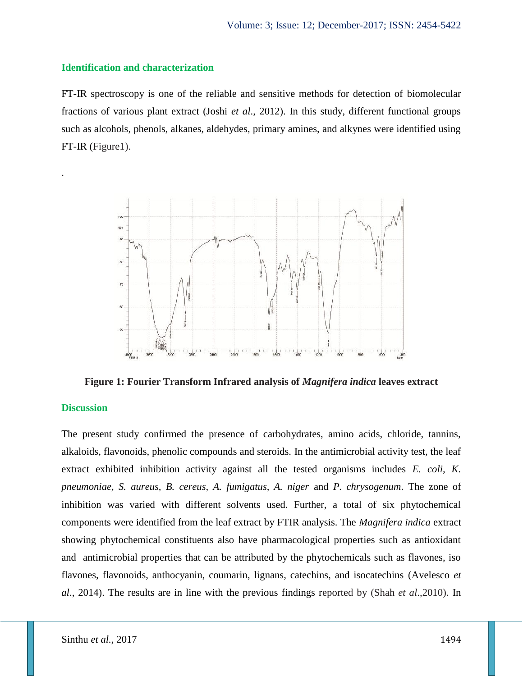#### **Identification and characterization**

FT-IR spectroscopy is one of the reliable and sensitive methods for detection of biomolecular fractions of various plant extract (Joshi *et al*., 2012). In this study, different functional groups such as alcohols, phenols, alkanes, aldehydes, primary amines, and alkynes were identified using FT-IR (Figure1).



**Figure 1: Fourier Transform Infrared analysis of** *Magnifera indica* **leaves extract**

### **Discussion**

.

The present study confirmed the presence of carbohydrates, amino acids, chloride, tannins, alkaloids, flavonoids, phenolic compounds and steroids. In the antimicrobial activity test, the leaf extract exhibited inhibition activity against all the tested organisms includes *E. coli, K. pneumoniae, S. aureus, B. cereus, A. fumigatus, A. niger* and *P. chrysogenum*. The zone of inhibition was varied with different solvents used. Further, a total of six phytochemical components were identified from the leaf extract by FTIR analysis. The *Magnifera indica* extract showing phytochemical constituents also have pharmacological properties such as antioxidant and antimicrobial properties that can be attributed by the phytochemicals such as flavones, iso flavones, flavonoids, anthocyanin, coumarin, lignans, catechins, and isocatechins (Avelesco *et al*., 2014). The results are in line with the previous findings reported by (Shah *et al*.,2010). In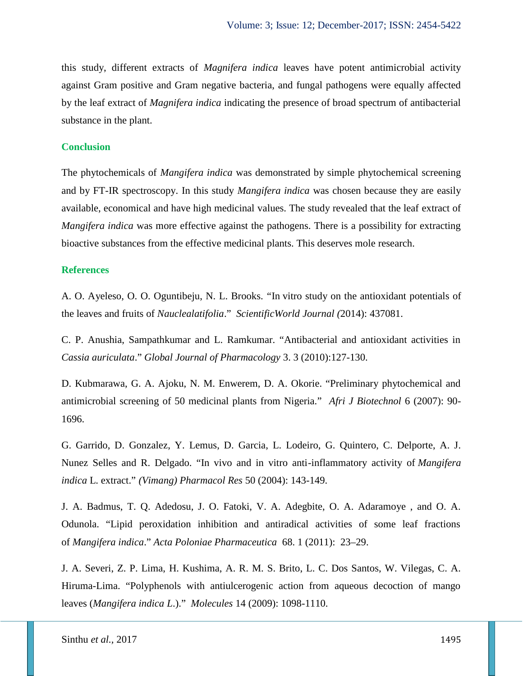this study, different extracts of *Magnifera indica* leaves have potent antimicrobial activity against Gram positive and Gram negative bacteria, and fungal pathogens were equally affected by the leaf extract of *Magnifera indica* indicating the presence of broad spectrum of antibacterial substance in the plant.

### **Conclusion**

The phytochemicals of *Mangifera indica* was demonstrated by simple phytochemical screening and by FT-IR spectroscopy. In this study *Mangifera indica* was chosen because they are easily available, economical and have high medicinal values. The study revealed that the leaf extract of *Mangifera indica* was more effective against the pathogens. There is a possibility for extracting bioactive substances from the effective medicinal plants. This deserves mole research.

#### **References**

A. O. Ayeleso, O. O. Oguntibeju, N. L. Brooks. *"*In vitro study on the antioxidant potentials of the leaves and fruits of *Nauclealatifolia*." *ScientificWorld Journal (*2014): 437081.

C. P. Anushia, Sampathkumar and L. Ramkumar. "Antibacterial and antioxidant activities in *Cassia auriculata*." *Global Journal of Pharmacology* 3. 3 (2010):127-130.

D. Kubmarawa, G. A. Ajoku, N. M. Enwerem, D. A. Okorie. "Preliminary phytochemical and antimicrobial screening of 50 medicinal plants from Nigeria." *Afri J Biotechnol* 6 (2007): 90- 1696.

G. Garrido, D. Gonzalez, Y. Lemus, D. Garcia, L. Lodeiro, G. Quintero, C. Delporte, A. J. Nunez Selles and R. Delgado. "In vivo and in vitro anti-inflammatory activity of *Mangifera indica* L. extract." *(Vimang) Pharmacol Res* 50 (2004): 143-149.

J. A. Badmus, T. Q. Adedosu, J. O. Fatoki, V. A. Adegbite, O. A. Adaramoye , and O. A. Odunola. "Lipid peroxidation inhibition and antiradical activities of some leaf fractions of *Mangifera indica*." *Acta Poloniae Pharmaceutica* 68. 1 (2011): 23–29.

J. A. Severi, Z. P. Lima, H. Kushima, A. R. M. S. Brito, L. C. Dos Santos, W. Vilegas, C. A. Hiruma-Lima. "Polyphenols with antiulcerogenic action from aqueous decoction of mango leaves (*Mangifera indica L*.)." *Molecules* 14 (2009): 1098-1110.